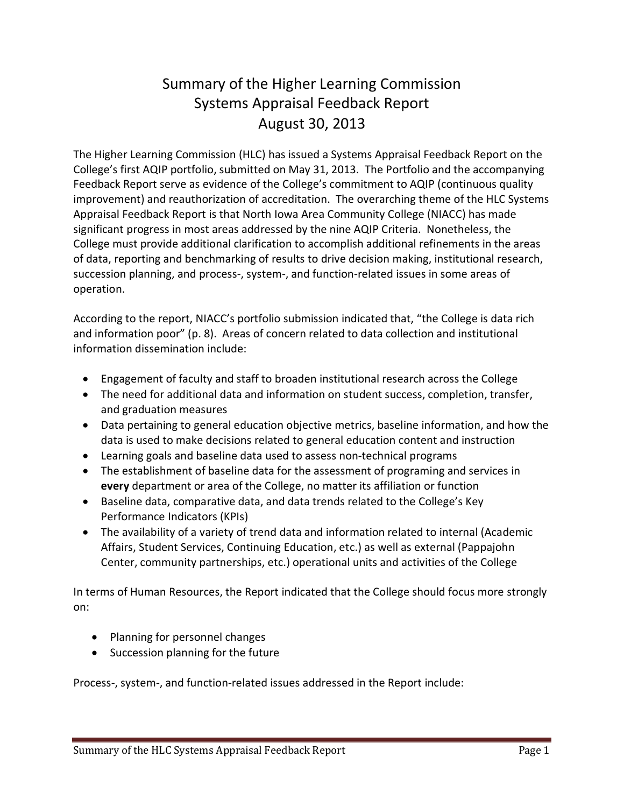## Summary of the Higher Learning Commission Systems Appraisal Feedback Report August 30, 2013

The Higher Learning Commission (HLC) has issued a Systems Appraisal Feedback Report on the College's first AQIP portfolio, submitted on May 31, 2013. The Portfolio and the accompanying Feedback Report serve as evidence of the College's commitment to AQIP (continuous quality improvement) and reauthorization of accreditation. The overarching theme of the HLC Systems Appraisal Feedback Report is that North Iowa Area Community College (NIACC) has made significant progress in most areas addressed by the nine AQIP Criteria. Nonetheless, the College must provide additional clarification to accomplish additional refinements in the areas of data, reporting and benchmarking of results to drive decision making, institutional research, succession planning, and process-, system-, and function-related issues in some areas of operation.

According to the report, NIACC's portfolio submission indicated that, "the College is data rich and information poor" (p. 8). Areas of concern related to data collection and institutional information dissemination include:

- · Engagement of faculty and staff to broaden institutional research across the College
- · The need for additional data and information on student success, completion, transfer, and graduation measures
- · Data pertaining to general education objective metrics, baseline information, and how the data is used to make decisions related to general education content and instruction
- · Learning goals and baseline data used to assess non-technical programs
- · The establishment of baseline data for the assessment of programing and services in **every** department or area of the College, no matter its affiliation or function
- · Baseline data, comparative data, and data trends related to the College's Key Performance Indicators (KPIs)
- · The availability of a variety of trend data and information related to internal (Academic Affairs, Student Services, Continuing Education, etc.) as well as external (Pappajohn Center, community partnerships, etc.) operational units and activities of the College

In terms of Human Resources, the Report indicated that the College should focus more strongly on:

- · Planning for personnel changes
- · Succession planning for the future

Process-, system-, and function-related issues addressed in the Report include: